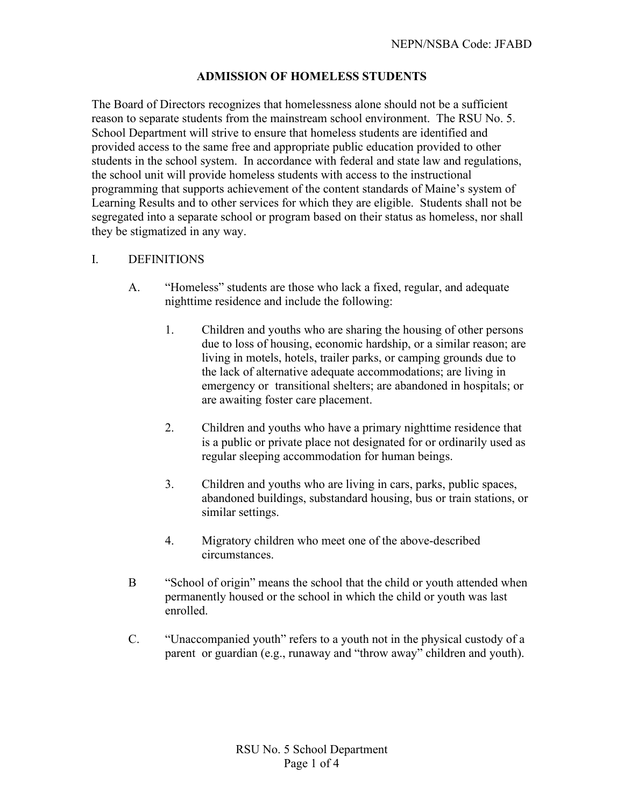# **ADMISSION OF HOMELESS STUDENTS**

The Board of Directors recognizes that homelessness alone should not be a sufficient reason to separate students from the mainstream school environment. The RSU No. 5. School Department will strive to ensure that homeless students are identified and provided access to the same free and appropriate public education provided to other students in the school system. In accordance with federal and state law and regulations, the school unit will provide homeless students with access to the instructional programming that supports achievement of the content standards of Maine's system of Learning Results and to other services for which they are eligible. Students shall not be segregated into a separate school or program based on their status as homeless, nor shall they be stigmatized in any way.

#### I. DEFINITIONS

- A. "Homeless" students are those who lack a fixed, regular, and adequate nighttime residence and include the following:
	- 1. Children and youths who are sharing the housing of other persons due to loss of housing, economic hardship, or a similar reason; are living in motels, hotels, trailer parks, or camping grounds due to the lack of alternative adequate accommodations; are living in emergency or transitional shelters; are abandoned in hospitals; or are awaiting foster care placement.
	- 2. Children and youths who have a primary nighttime residence that is a public or private place not designated for or ordinarily used as regular sleeping accommodation for human beings.
	- 3. Children and youths who are living in cars, parks, public spaces, abandoned buildings, substandard housing, bus or train stations, or similar settings.
	- 4. Migratory children who meet one of the above-described circumstances.
- B "School of origin" means the school that the child or youth attended when permanently housed or the school in which the child or youth was last enrolled.
- C. "Unaccompanied youth" refers to a youth not in the physical custody of a parent or guardian (e.g., runaway and "throw away" children and youth).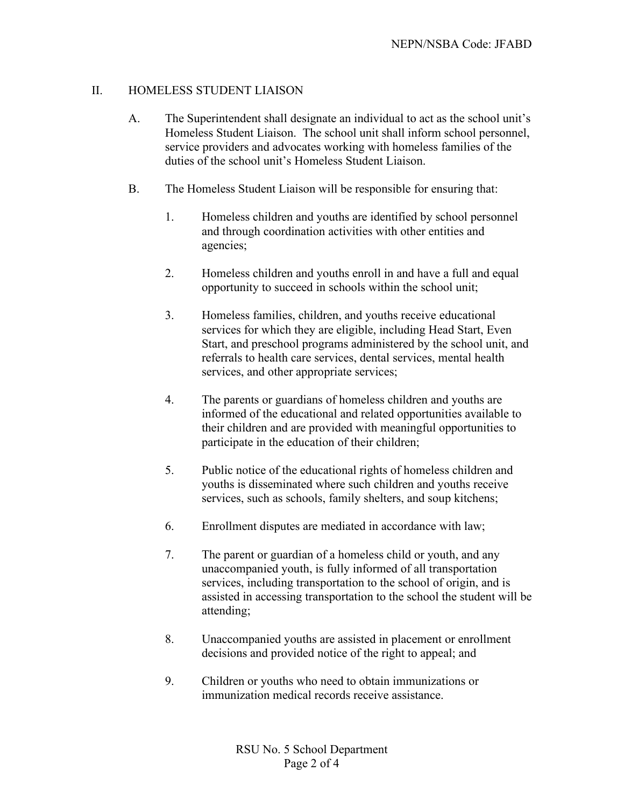# II. HOMELESS STUDENT LIAISON

- A. The Superintendent shall designate an individual to act as the school unit's Homeless Student Liaison. The school unit shall inform school personnel, service providers and advocates working with homeless families of the duties of the school unit's Homeless Student Liaison.
- B. The Homeless Student Liaison will be responsible for ensuring that:
	- 1. Homeless children and youths are identified by school personnel and through coordination activities with other entities and agencies;
	- 2. Homeless children and youths enroll in and have a full and equal opportunity to succeed in schools within the school unit;
	- 3. Homeless families, children, and youths receive educational services for which they are eligible, including Head Start, Even Start, and preschool programs administered by the school unit, and referrals to health care services, dental services, mental health services, and other appropriate services;
	- 4. The parents or guardians of homeless children and youths are informed of the educational and related opportunities available to their children and are provided with meaningful opportunities to participate in the education of their children;
	- 5. Public notice of the educational rights of homeless children and youths is disseminated where such children and youths receive services, such as schools, family shelters, and soup kitchens;
	- 6. Enrollment disputes are mediated in accordance with law;
	- 7. The parent or guardian of a homeless child or youth, and any unaccompanied youth, is fully informed of all transportation services, including transportation to the school of origin, and is assisted in accessing transportation to the school the student will be attending;
	- 8. Unaccompanied youths are assisted in placement or enrollment decisions and provided notice of the right to appeal; and
	- 9. Children or youths who need to obtain immunizations or immunization medical records receive assistance.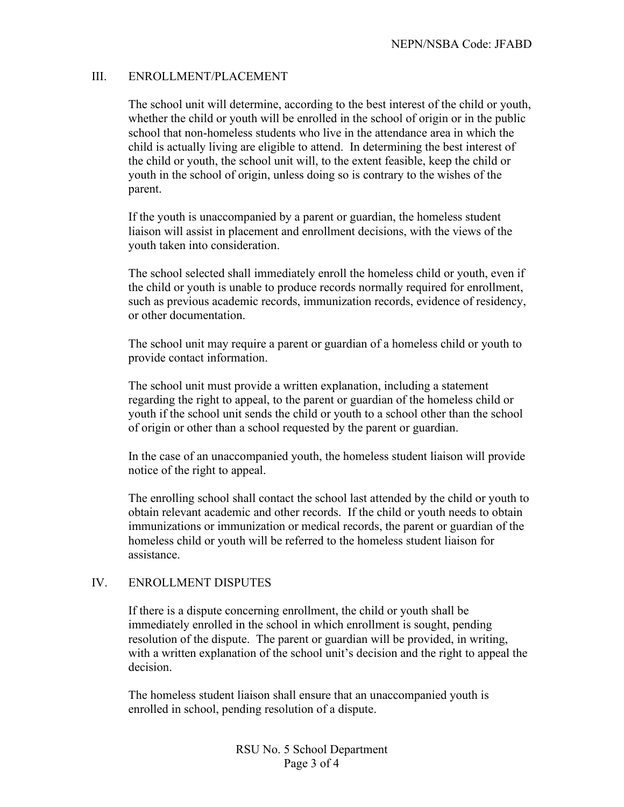# III. ENROLLMENT/PLACEMENT

The school unit will determine, according to the best interest of the child or youth, whether the child or youth will be enrolled in the school of origin or in the public school that non-homeless students who live in the attendance area in which the child is actually living are eligible to attend. In determining the best interest of the child or youth, the school unit will, to the extent feasible, keep the child or youth in the school of origin, unless doing so is contrary to the wishes of the parent.

If the youth is unaccompanied by a parent or guardian, the homeless student liaison will assist in placement and enrollment decisions, with the views of the youth taken into consideration.

The school selected shall immediately enroll the homeless child or youth, even if the child or youth is unable to produce records normally required for enrollment, such as previous academic records, immunization records, evidence of residency, or other documentation.

The school unit may require a parent or guardian of a homeless child or youth to provide contact information.

The school unit must provide a written explanation, including a statement regarding the right to appeal, to the parent or guardian of the homeless child or youth if the school unit sends the child or youth to a school other than the school of origin or other than a school requested by the parent or guardian.

In the case of an unaccompanied youth, the homeless student liaison will provide notice of the right to appeal.

The enrolling school shall contact the school last attended by the child or youth to obtain relevant academic and other records. If the child or youth needs to obtain immunizations or immunization or medical records, the parent or guardian of the homeless child or youth will be referred to the homeless student liaison for assistance.

#### IV. ENROLLMENT DISPUTES

If there is a dispute concerning enrollment, the child or youth shall be immediately enrolled in the school in which enrollment is sought, pending resolution of the dispute. The parent or guardian will be provided, in writing, with a written explanation of the school unit's decision and the right to appeal the decision.

The homeless student liaison shall ensure that an unaccompanied youth is enrolled in school, pending resolution of a dispute.

> RSU No. 5 School Department Page 3 of 4